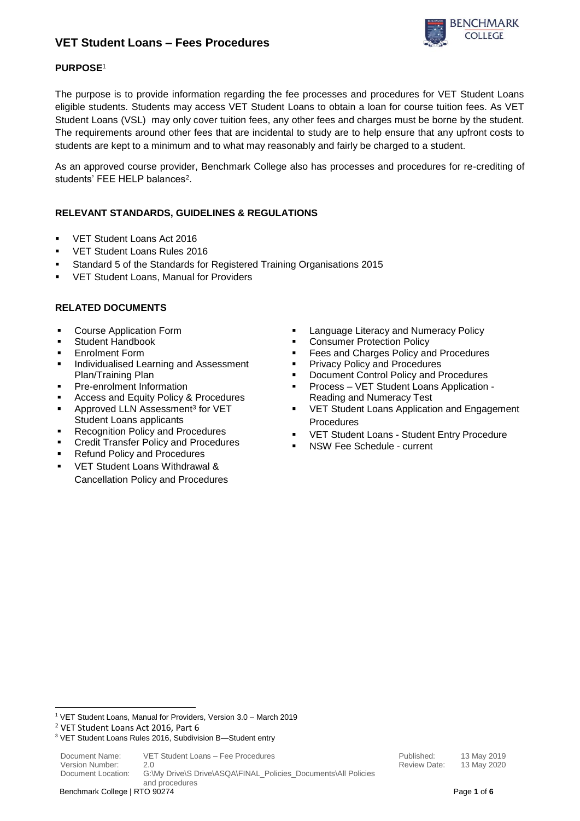

## **PURPOSE**<sup>1</sup>

The purpose is to provide information regarding the fee processes and procedures for VET Student Loans eligible students. Students may access VET Student Loans to obtain a loan for course tuition fees. As VET Student Loans (VSL) may only cover tuition fees, any other fees and charges must be borne by the student. The requirements around other fees that are incidental to study are to help ensure that any upfront costs to students are kept to a minimum and to what may reasonably and fairly be charged to a student.

As an approved course provider, Benchmark College also has processes and procedures for re-crediting of students' FEE HELP balances<sup>2</sup>.

## **RELEVANT STANDARDS, GUIDELINES & REGULATIONS**

- VET Student Loans Act 2016
- VET Student Loans Rules 2016
- Standard 5 of the Standards for Registered Training Organisations 2015
- VET Student Loans, Manual for Providers

## **RELATED DOCUMENTS**

- Course Application Form
- Student Handbook
- 
- Individualised Learning and Assessment Plan/Training Plan
- 
- Access and Equity Policy & Procedures Reading and Numeracy Test
- Approved LLN Assessment<sup>3</sup> for VET Student Loans applicants
- Recognition Policy and Procedures
- **Credit Transfer Policy and Procedures**
- Refund Policy and Procedures
- VET Student Loans Withdrawal & Cancellation Policy and Procedures
- Language Literacy and Numeracy Policy
- Consumer Protection Policy
- Enrolment Form **■** Fees and Charges Policy and Procedures
	- **Privacy Policy and Procedures**
	- **Document Control Policy and Procedures**
	- **Pre-enrolment Information**  $\blacksquare$  **Process VET Student Loans Application -**
		- VET Student Loans Application and Engagement Procedures
		- VET Student Loans Student Entry Procedure
		- NSW Fee Schedule current

**.** 

<sup>1</sup> VET Student Loans, Manual for Providers, Version 3.0 – March 2019

<sup>2</sup> VET Student Loans Act 2016, Part 6

<sup>3</sup> VET Student Loans Rules 2016, Subdivision B—Student entry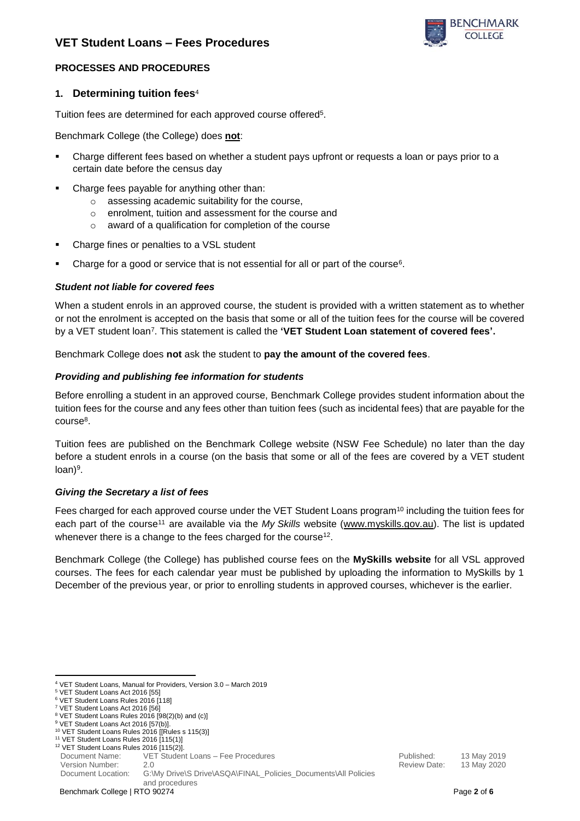

### **PROCESSES AND PROCEDURES**

### **1. Determining tuition fees**<sup>4</sup>

Tuition fees are determined for each approved course offered<sup>5</sup>.

Benchmark College (the College) does **not**:

- Charge different fees based on whether a student pays upfront or requests a loan or pays prior to a certain date before the census day
- Charge fees payable for anything other than:
	- o assessing academic suitability for the course,
	- o enrolment, tuition and assessment for the course and
	- o award of a qualification for completion of the course
- Charge fines or penalties to a VSL student
- **•** Charge for a good or service that is not essential for all or part of the course<sup>6</sup>.

#### *Student not liable for covered fees*

When a student enrols in an approved course, the student is provided with a written statement as to whether or not the enrolment is accepted on the basis that some or all of the tuition fees for the course will be covered by a VET student loan<sup>7</sup>. This statement is called the 'VET Student Loan statement of covered fees'.

Benchmark College does **not** ask the student to **pay the amount of the covered fees**.

#### *Providing and publishing fee information for students*

Before enrolling a student in an approved course, Benchmark College provides student information about the tuition fees for the course and any fees other than tuition fees (such as incidental fees) that are payable for the course<sup>8</sup>.

Tuition fees are published on the Benchmark College website (NSW Fee Schedule) no later than the day before a student enrols in a course (on the basis that some or all of the fees are covered by a VET student loan)<sup>9</sup>.

#### *Giving the Secretary a list of fees*

Fees charged for each approved course under the VET Student Loans program<sup>10</sup> including the tuition fees for each part of the course<sup>11</sup> are available via the *My Skills* website [\(www.myskills.gov.au\)](http://www.myskills.gov.au/). The list is updated whenever there is a change to the fees charged for the course<sup>12</sup>.

Benchmark College (the College) has published course fees on the **MySkills website** for all VSL approved courses. The fees for each calendar year must be published by uploading the information to MySkills by 1 December of the previous year, or prior to enrolling students in approved courses, whichever is the earlier.

Document Location: G:\My Drive\S Drive\ASQA\FINAL\_Policies\_Documents\All Policies and procedures

**<sup>.</sup>** <sup>4</sup> VET Student Loans, Manual for Providers, Version 3.0 – March 2019

<sup>5</sup> VET Student Loans Act 2016 [55]

<sup>6</sup> VET Student Loans Rules 2016 [118] <sup>7</sup> VET Student Loans Act 2016 [56]

<sup>8</sup> VET Student Loans Rules 2016 [98(2)(b) and (c)]

<sup>&</sup>lt;sup>9</sup> VET Student Loans Act 2016 [57(b)].

<sup>10</sup> VET Student Loans Rules 2016 [[Rules s 115(3)]

<sup>11</sup> VET Student Loans Rules 2016 [115(1)] <sup>12</sup> VET Student Loans Rules 2016 [115(2)].

Document Name: VET Student Loans – Fee Procedures entity of the Mublished: 13 May 2019

Version Number: 2.0 Review Date: 13 May 2020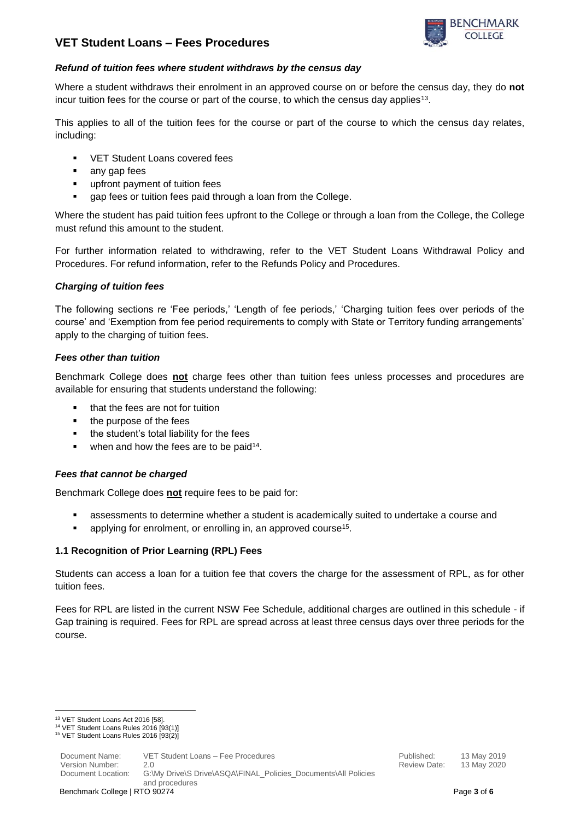



#### *Refund of tuition fees where student withdraws by the census day*

Where a student withdraws their enrolment in an approved course on or before the census day, they do **not** incur tuition fees for the course or part of the course, to which the census day applies<sup>13</sup>.

This applies to all of the tuition fees for the course or part of the course to which the census day relates, including:

- VET Student Loans covered fees
- any gap fees
- upfront payment of tuition fees
- gap fees or tuition fees paid through a loan from the College.

Where the student has paid tuition fees upfront to the College or through a loan from the College, the College must refund this amount to the student.

For further information related to withdrawing, refer to the VET Student Loans Withdrawal Policy and Procedures. For refund information, refer to the Refunds Policy and Procedures.

### *Charging of tuition fees*

The following sections re 'Fee periods,' 'Length of fee periods,' 'Charging tuition fees over periods of the course' and 'Exemption from fee period requirements to comply with State or Territory funding arrangements' apply to the charging of tuition fees.

#### *Fees other than tuition*

Benchmark College does **not** charge fees other than tuition fees unless processes and procedures are available for ensuring that students understand the following:

- that the fees are not for tuition
- the purpose of the fees
- the student's total liability for the fees
- $\bullet$  when and how the fees are to be paid<sup>14</sup>.

### *Fees that cannot be charged*

Benchmark College does **not** require fees to be paid for:

- assessments to determine whether a student is academically suited to undertake a course and
- **E** applying for enrolment, or enrolling in, an approved course<sup>15</sup>.

### **1.1 Recognition of Prior Learning (RPL) Fees**

Students can access a loan for a tuition fee that covers the charge for the assessment of RPL, as for other tuition fees.

Fees for RPL are listed in the current NSW Fee Schedule, additional charges are outlined in this schedule - if Gap training is required. Fees for RPL are spread across at least three census days over three periods for the course.

**<sup>.</sup>** <sup>13</sup> VET Student Loans Act 2016 [58].

<sup>14</sup> VET Student Loans Rules 2016 [93(1)]

<sup>15</sup> VET Student Loans Rules 2016 [93(2)]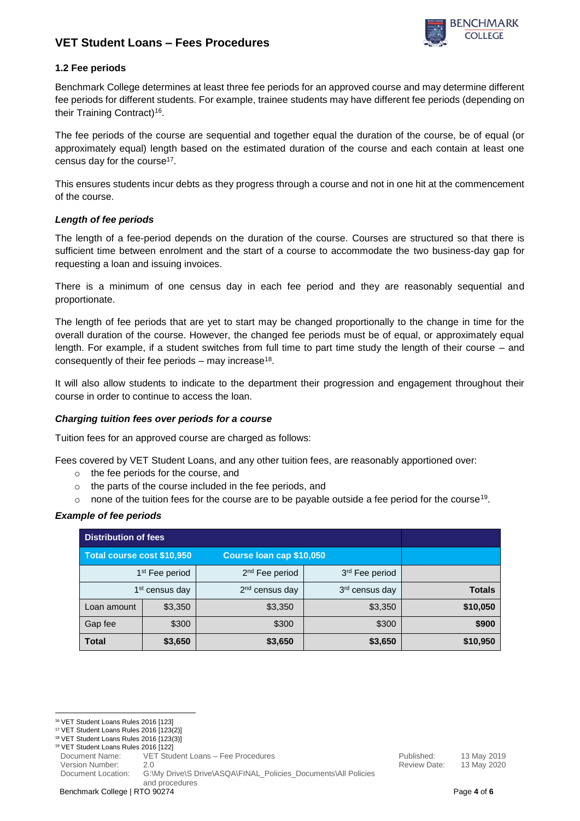

## **1.2 Fee periods**

Benchmark College determines at least three fee periods for an approved course and may determine different fee periods for different students. For example, trainee students may have different fee periods (depending on their Training Contract)<sup>16</sup>.

The fee periods of the course are sequential and together equal the duration of the course, be of equal (or approximately equal) length based on the estimated duration of the course and each contain at least one census day for the course<sup>17</sup>.

This ensures students incur debts as they progress through a course and not in one hit at the commencement of the course.

### *Length of fee periods*

The length of a fee-period depends on the duration of the course. Courses are structured so that there is sufficient time between enrolment and the start of a course to accommodate the two business-day gap for requesting a loan and issuing invoices.

There is a minimum of one census day in each fee period and they are reasonably sequential and proportionate.

The length of fee periods that are yet to start may be changed proportionally to the change in time for the overall duration of the course. However, the changed fee periods must be of equal, or approximately equal length. For example, if a student switches from full time to part time study the length of their course – and consequently of their fee periods  $-$  may increase<sup>18</sup>.

It will also allow students to indicate to the department their progression and engagement throughout their course in order to continue to access the loan.

### *Charging tuition fees over periods for a course*

Tuition fees for an approved course are charged as follows:

Fees covered by VET Student Loans, and any other tuition fees, are reasonably apportioned over:

- o the fee periods for the course, and
- o the parts of the course included in the fee periods, and
- $\circ$  none of the tuition fees for the course are to be payable outside a fee period for the course<sup>19</sup>.

### *Example of fee periods*

| <b>Distribution of fees</b> |         |                            |                            |               |
|-----------------------------|---------|----------------------------|----------------------------|---------------|
| Total course cost \$10,950  |         | Course Ioan cap \$10,050   |                            |               |
| 1 <sup>st</sup> Fee period  |         | 2 <sup>nd</sup> Fee period | 3rd Fee period             |               |
| 1 <sup>st</sup> census day  |         | 2 <sup>nd</sup> census day | 3 <sup>rd</sup> census day | <b>Totals</b> |
| Loan amount                 | \$3,350 | \$3,350                    | \$3,350                    | \$10,050      |
| Gap fee                     | \$300   | \$300                      | \$300                      | \$900         |
| <b>Total</b>                | \$3,650 | \$3,650                    | \$3,650                    | \$10,950      |

**<sup>.</sup>** <sup>16</sup> VET Student Loans Rules 2016 [123]

<sup>17</sup> VET Student Loans Rules 2016 [123(2)]

<sup>18</sup> VET Student Loans Rules 2016 [123(3)] <sup>19</sup> VET Student Loans Rules 2016 [122]

Document Name: VET Student Loans – Fee Procedures entitled and the Mublished: 13 May 2019

Version Number: 2.0 Review Date: 13 May 2020

Document Location: G:\My Drive\S Drive\ASQA\FINAL\_Policies\_Documents\All Policies and procedures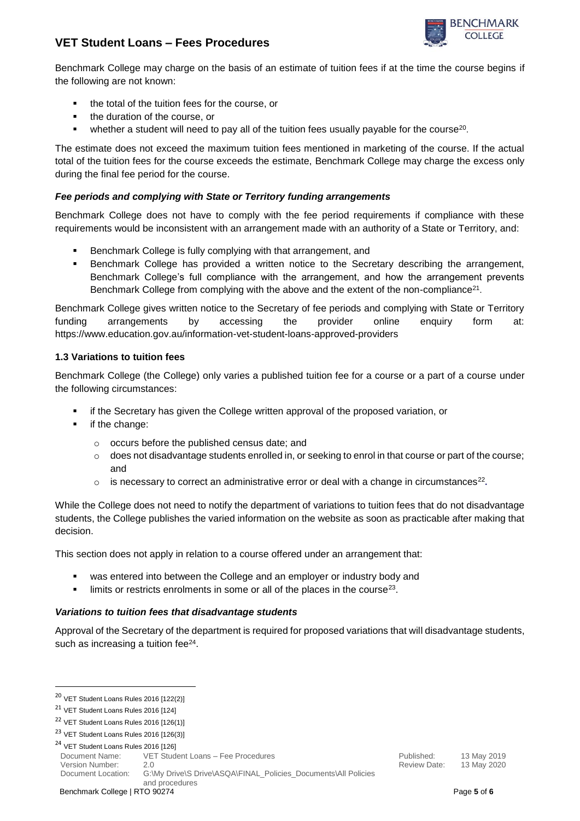

Benchmark College may charge on the basis of an estimate of tuition fees if at the time the course begins if the following are not known:

- the total of the tuition fees for the course, or
- the duration of the course, or
- $\bullet$  whether a student will need to pay all of the tuition fees usually payable for the course<sup>20</sup>.

The estimate does not exceed the maximum tuition fees mentioned in marketing of the course. If the actual total of the tuition fees for the course exceeds the estimate, Benchmark College may charge the excess only during the final fee period for the course.

#### *Fee periods and complying with State or Territory funding arrangements*

Benchmark College does not have to comply with the fee period requirements if compliance with these requirements would be inconsistent with an arrangement made with an authority of a State or Territory, and:

- Benchmark College is fully complying with that arrangement, and
- Benchmark College has provided a written notice to the Secretary describing the arrangement, Benchmark College's full compliance with the arrangement, and how the arrangement prevents Benchmark College from complying with the above and the extent of the non-compliance<sup>21</sup>.

Benchmark College gives written notice to the Secretary of fee periods and complying with State or Territory funding arrangements by accessing the provider online enquiry form at: <https://www.education.gov.au/information-vet-student-loans-approved-providers>

#### **1.3 Variations to tuition fees**

Benchmark College (the College) only varies a published tuition fee for a course or a part of a course under the following circumstances:

- if the Secretary has given the College written approval of the proposed variation, or
- if the change:
	- o occurs before the published census date; and
	- $\circ$  does not disadvantage students enrolled in, or seeking to enrol in that course or part of the course; and
	- $\circ$  is necessary to correct an administrative error or deal with a change in circumstances<sup>22</sup>.

While the College does not need to notify the department of variations to tuition fees that do not disadvantage students, the College publishes the varied information on the website as soon as practicable after making that decision.

This section does not apply in relation to a course offered under an arrangement that:

- was entered into between the College and an employer or industry body and
- $\blacksquare$  limits or restricts enrolments in some or all of the places in the course<sup>23</sup>.

#### *Variations to tuition fees that disadvantage students*

Approval of the Secretary of the department is required for proposed variations that will disadvantage students, such as increasing a tuition fee $24$ .

**.** 

Document Name: VET Student Loans – Fee Procedures entity of the Mublished: 13 May 2019 Version Number: 2.0 Review Date: 13 May 2020

Document Location: G:\My Drive\S Drive\ASQA\FINAL\_Policies\_Documents\All Policies and procedures

<sup>20</sup> VET Student Loans Rules 2016 [122(2)]

<sup>21</sup> VET Student Loans Rules 2016 [124]

<sup>22</sup> VET Student Loans Rules 2016 [126(1)]

<sup>23</sup> VET Student Loans Rules 2016 [126(3)]

<sup>&</sup>lt;sup>24</sup> VET Student Loans Rules 2016 [126]